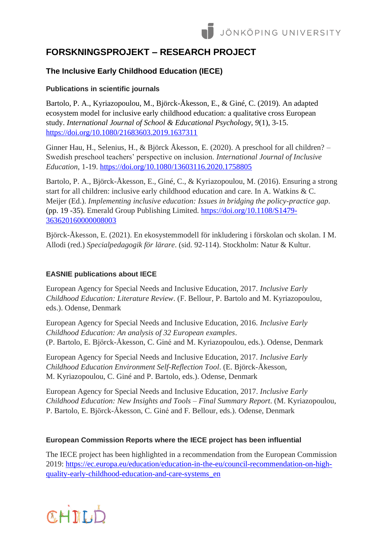# **FORSKNINGSPROJEKT – RESEARCH PROJECT**

# **The Inclusive Early Childhood Education (IECE)**

## **Publications in scientific journals**

Bartolo, P. A., Kyriazopoulou, M., Björck-Åkesson, E., & Giné, C. (2019). An adapted ecosystem model for inclusive early childhood education: a qualitative cross European study. *International Journal of School & Educational Psychology, 9*(1), 3-15. <https://doi.org/10.1080/21683603.2019.1637311>

Ginner Hau, H., Selenius, H., & Björck Åkesson, E. (2020). A preschool for all children? – Swedish preschool teachers' perspective on inclusion. *International Journal of Inclusive Education*, 1-19.<https://doi.org/10.1080/13603116.2020.1758805>

Bartolo, P. A., Björck-Åkesson, E., Giné, C., & Kyriazopoulou, M. (2016). Ensuring a strong start for all children: inclusive early childhood education and care. In A. Watkins & C. Meijer (Ed.). *Implementing inclusive education: Issues in bridging the policy-practice gap*. (pp. 19 -35). Emerald Group Publishing Limited. [https://doi.org/10.1108/S1479-](https://doi.org/10.1108/S1479-363620160000008003) [363620160000008003](https://doi.org/10.1108/S1479-363620160000008003)

Björck-Åkesson, E. (2021). En ekosystemmodell för inkludering i förskolan och skolan. I M. Allodi (red.) *Specialpedagogik för lärare*. (sid. 92-114). Stockholm: Natur & Kultur.

### **EASNIE publications about IECE**

European Agency for Special Needs and Inclusive Education, 2017. *Inclusive Early Childhood Education: Literature Review*. (F. Bellour, P. Bartolo and M. Kyriazopoulou, eds.). Odense, Denmark

European Agency for Special Needs and Inclusive Education, 2016. *Inclusive Early Childhood Education: An analysis of 32 European examples*. (P. Bartolo, E. Björck-Åkesson, C. Giné and M. Kyriazopoulou, eds.). Odense, Denmark

European Agency for Special Needs and Inclusive Education, 2017. *Inclusive Early Childhood Education Environment Self-Reflection Tool*. (E. Björck-Åkesson, M. Kyriazopoulou, C. Giné and P. Bartolo, eds.). Odense, Denmark

European Agency for Special Needs and Inclusive Education, 2017. *Inclusive Early Childhood Education: New Insights and Tools – Final Summary Report*. (M. Kyriazopoulou, P. Bartolo, E. Björck-Åkesson, C. Giné and F. Bellour, eds.). Odense, Denmark

### **European Commission Reports where the IECE project has been influential**

The IECE project has been highlighted in a recommendation from the European Commission 2019: [https://ec.europa.eu/education/education-in-the-eu/council-recommendation-on-high](https://ec.europa.eu/education/education-in-the-eu/council-recommendation-on-high-quality-early-childhood-education-and-care-systems_en)[quality-early-childhood-education-and-care-systems\\_en](https://ec.europa.eu/education/education-in-the-eu/council-recommendation-on-high-quality-early-childhood-education-and-care-systems_en)